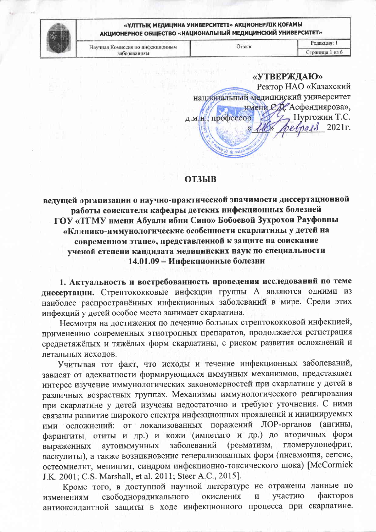

Научная Комиссия по инфекционным заболеваниям

| «УТВЕРЖДАЮ»                          |
|--------------------------------------|
| Ректор НАО «Казахский                |
| национальный медицинский университет |
| имени СД. Асфендиярова»,             |
| Нургожин Т.С.<br>профессор<br>Д.М.   |
| $begin8$ 2021 $r$ .                  |
|                                      |
|                                      |

## **ОТЗЫВ**

ведущей организации о научно-практической значимости диссертационной работы соискателя кафедры детских инфекционных болезней ГОУ «ТГМУ имени Абуали ибни Сино» Бобоевой Зухрохон Рауфовны «Клинико-иммунологические особенности скарлатины у детей на современном этапе», представленной к защите на соискание ученой степени кандидата медицинских наук по специальности 14.01.09 - Инфекционные болезни

1. Актуальность и востребованность проведения исследований по теме диссертации. Стрептококковые инфекции группы А являются одними из наиболее распространённых инфекционных заболеваний в мире. Среди этих инфекций у детей особое место занимает скарлатина.

Несмотря на достижения по лечению больных стрептококковой инфекцией, применению современных этиотропных препаратов, продолжается регистрация среднетяжёлых и тяжёлых форм скарлатины, с риском развития осложнений и летальных исходов.

Учитывая тот факт, что исходы и течение инфекционных заболеваний, зависят от адекватности формирующихся иммунных механизмов, представляет интерес изучение иммунологических закономерностей при скарлатине у детей в различных возрастных группах. Механизмы иммунологического реагирования при скарлатине у детей изучены недостаточно и требуют уточнения. С ними связаны развитие широкого спектра инфекционных проявлений и инициируемых ими осложнений: от локализованных поражений ЛОР-органов (ангины, фарингиты, отиты и др.) и кожи (импетиго и др.) до вторичных форм гломерулонефрит, аутоиммунных заболеваний (ревматизм, выраженных васкулиты), а также возникновение генерализованных форм (пневмония, сепсис, остеомиелит, менингит, синдром инфекционно-токсического шока) [McCormick J.K. 2001; C.S. Marshall, et al. 2011; Steer A.C., 2015].

Кроме того, в доступной научной литературе не отражены данные по факторов свободнорадикального участию окисления И изменениям антиоксидантной защиты в ходе инфекционного процесса при скарлатине.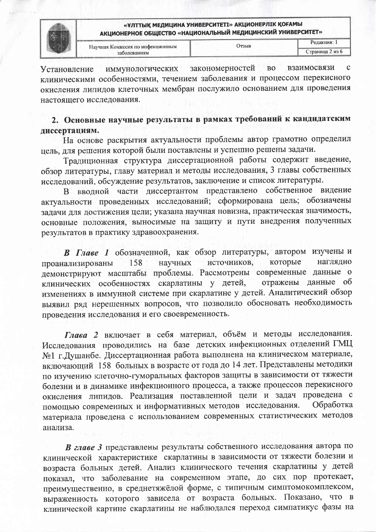

| Научная Комиссия по инфекционным<br>заболеваниям | )тзыв | Редакция: 1     |
|--------------------------------------------------|-------|-----------------|
|                                                  |       | Страница 2 из 6 |

закономерностей B<sub>O</sub> взаимосвязи иммунологических Установление клиническими особенностями, течением заболевания и процессом перекисного окисления липидов клеточных мембран послужило основанием для проведения настоящего исследования.

# 2. Основные научные результаты в рамках требований к кандидатским диссертациям.

На основе раскрытия актуальности проблемы автор грамотно определил цель, для решения которой были поставлены и успешно решены задачи.

Традиционная структура диссертационной работы содержит введение, обзор литературы, главу материал и методы исследования, 3 главы собственных исследований, обсуждение результатов, заключение и список литературы.

В вводной части диссертантом представлено собственное видение актуальности проведенных исследований; сформирована цель; обозначены задачи для достижения цели; указана научная новизна, практическая значимость, основные положения, выносимые на защиту и пути внедрения полученных результатов в практику здравоохранения.

В Главе 1 обозначенной, как обзор литературы, автором изучены и источников, которые наглядно проанализированы 158 научных демонстрируют масштабы проблемы. Рассмотрены современные данные о клинических особенностях скарлатины у детей, отражены данные об изменениях в иммунной системе при скарлатине у детей. Аналитический обзор выявил ряд нерешенных вопросов, что позволило обосновать необходимость проведения исследования и его своевременность.

Глава 2 включает в себя материал, объём и методы исследования. Исследования проводились на базе детских инфекционных отделений ГМЦ №1 г. Душанбе. Диссертационная работа выполнена на клиническом материале, включающий 158 больных в возрасте от года до 14 лет. Представлены методики по изучению клеточно-гуморальных факторов защиты в зависимости от тяжести болезни и в динамике инфекционного процесса, а также процессов перекисного окисления липидов. Реализация поставленной цели и задач проведена с помощью современных и информативных методов исследования. Обработка материала проведена с использованием современных статистических методов анализа.

В главе 3 представлены результаты собственного исследования автора по клинической характеристике скарлатины в зависимости от тяжести болезни и возраста больных детей. Анализ клинического течения скарлатины у детей показал, что заболевание на современном этапе, до сих пор протекает, преимущественно, в среднетяжёлой форме, с типичным симптомокомплексом, выраженность которого зависела от возраста больных. Показано, что в клинической картине скарлатины не наблюдался переход симпатикус фазы на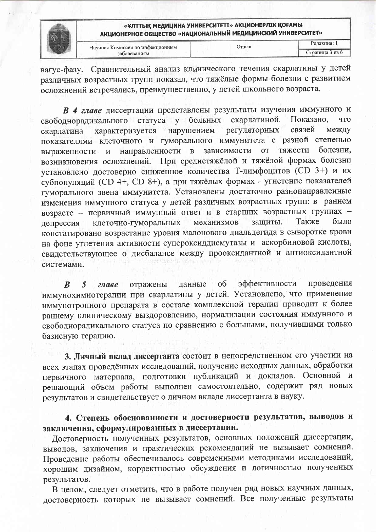

| Научная Комиссия по инфекционным | ЛТЗЫВ | Релакция:      |
|----------------------------------|-------|----------------|
| заболеваниям                     |       | праница 3 из 6 |

вагус-фазу. Сравнительный анализ клинического течения скарлатины у детей различных возрастных групп показал, что тяжёлые формы болезни с развитием осложнений встречались, преимущественно, у детей школьного возраста.

В 4 главе диссертации представлены результаты изучения иммунного и свободнорадикального статуса у больных скарлатиной. Показано, что характеризуется нарушением регуляторных связей между скарлатина показателями клеточного и гуморального иммунитета с разной степенью зависимости направленности в от тяжести болезни, выраженности  $\mathbf{M}$ При среднетяжёлой и тяжёлой формах болезни возникновения осложнений. установлено достоверно сниженное количества Т-лимфоцитов (CD 3+) и их субпопуляций (CD 4+, CD 8+), а при тяжёлых формах - угнетение показателей гуморального звена иммунитета. Установлены достаточно разнонаправленные изменения иммунного статуса у детей различных возрастных групп: в раннем возрасте -- первичный иммунный ответ и в старших возрастных группах защиты. Также было клеточно-гуморальных механизмов депрессия констатировано возрастание уровня малонового диальдегида в сыворотке крови на фоне угнетения активности супероксиддисмутазы и аскорбиновой кислоты, свидетельствующее о дисбалансе между прооксидантной и антиоксидантной системами.

эффективности проведения  $\boldsymbol{B}$ 5 данные  $\overline{00}$ главе отражены иммунохимиотерапии при скарлатины у детей. Установлено, что применение иммунотропного препарата в составе комплексной терапии приводит к более раннему клиническому выздоровлению, нормализации состояния иммунного и свободнорадикального статуса по сравнению с больными, получившими только базисную терапию.

3. Личный вклад диссертанта состоит в непосредственном его участии на всех этапах проведённых исследований, получение исходных данных, обработки первичного материала, подготовки публикаций и докладов. Основной и решающий объем работы выполнен самостоятельно, содержит ряд новых результатов и свидетельствует о личном вкладе диссертанта в науку.

4. Степень обоснованности и достоверности результатов, выводов и заключения, сформулированных в диссертации.

Достоверность полученных результатов, основных положений диссертации, выводов, заключения и практических рекомендаций не вызывает сомнений. Проведение работы обеспечивалось современными методиками исследований, хорошим дизайном, корректностью обсуждения и логичностью полученных результатов.

В целом, следует отметить, что в работе получен ряд новых научных данных, достоверность которых не вызывает сомнений. Все полученные результаты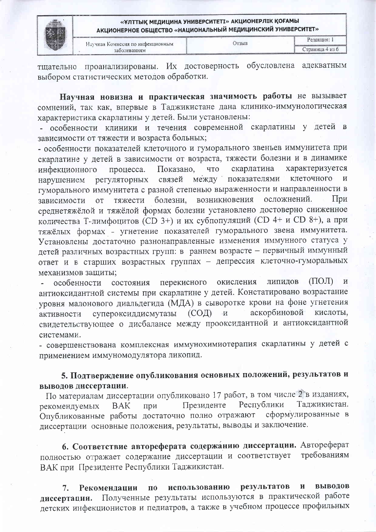

Научная Комиссия по инфекционным заболеваниям

проанализированы. Их достоверность обусловлена адекватным тщательно выбором статистических методов обработки.

Научная новизна и практическая значимость работы не вызывает сомнений, так как, впервые в Таджикистане дана клинико-иммунологическая характеристика скарлатины у детей. Были установлены:

- особенности клиники и течения современной скарлатины детей в y. зависимости от тяжести и возраста больных;

- особенности показателей клеточного и гуморального звеньев иммунитета при скарлатине у детей в зависимости от возраста, тяжести болезни и в динамике скарлатина характеризуется инфекционного процесса. Показано, что клеточного  $\overline{M}$ показателями регуляторных связей между нарушением гуморального иммунитета с разной степенью выраженности и направленности в осложнений. возникновения  $\prod_{i=1}^{n}$ болезни. тяжести зависимости OT среднетяжёлой и тяжёлой формах болезни установлено достоверно сниженное количества Т-лимфоцитов (CD 3+) и их субпопуляций (CD 4+ и CD 8+), а при тяжёлых формах - угнетение показателей гуморального звена иммунитета. Установлены достаточно разнонаправленные изменения иммунного статуса у детей различных возрастных групп: в раннем возрасте - первичный иммунный ответ и в старших возрастных группах - депрессия клеточно-гуморальных механизмов защиты;

 $(IIOH)$ перекисного окисления липидов  $\,$  M особенности состояния антиоксидантной системы при скарлатине у детей. Констатировано возрастание уровня малонового диальдегида (МДА) в сыворотке крови на фоне угнетения кислоты.  $(CO<sub>4</sub>)$ аскорбиновой супероксиддисмутазы  $\mathbf{M}$ активности свидетельствующее о дисбалансе между прооксидантной и антиоксидантной системами.

- совершенствована комплексная иммунохимиотерапия скарлатины у детей с применением иммуномодулятора ликопид.

## 5. Подтверждение опубликования основных положений, результатов и выводов диссертации.

По материалам диссертации опубликовано 17 работ, в том числе 2 в изданиях, Таджикистан. Республики Президенте **BAK** при рекомендуемых Опубликованные работы достаточно полно отражают сформулированные в диссертации основные положения, результаты, выводы и заключение.

6. Соответствие автореферата содержанию диссертации. Автореферат полностью отражает содержание диссертации и соответствует требованиям ВАК при Президенте Республики Таджикистан.

результатов выводов И 7. Рекомендации  $\Pi\dot{\mathbf{0}}$ использованию Полученные результаты используются в практической работе диссертации. детских инфекционистов и педиатров, а также в учебном процессе профильных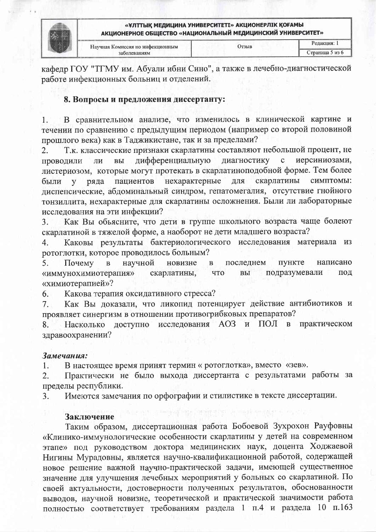

|  | Научная Комиссия по инфекционным | Јтзыв | • едакция:     |
|--|----------------------------------|-------|----------------|
|  | заболеваниям                     |       | траница 5 из 6 |

кафедр ГОУ "ТГМУ им. Абуали ибни Сино", а также в лечебно-диагностической работе инфекционных больниц и отделений.

## 8. Вопросы и предложения диссертанту:

В сравнительном анализе, что изменилось в клинической картине и  $1.$ течении по сравнению с предыдущим периодом (например со второй половиной прошлого века) как в Таджикистане, так и за пределами?

Т.к. классические признаки скарлатины составляют небольшой процент, не  $\overline{2}$ . дифференциальную диагностику иерсиниозами,  $\mathbf C$ проводили ЛИ ВЫ листериозом, которые могут протекать в скарлатиноподобной форме. Тем более скарлатины пациентов нехарактерные для симптомы: были  $\overline{\mathbf{V}}$ ряда диспепсические, абдоминальный синдром, гепатомегалия, отсутствие гнойного тонзиллита, нехарактерные для скарлатины осложнения. Были ли лабораторные исследования на эти инфекции?

Как Вы объясните, что дети в группе школьного возраста чаще болеют 3. скарлатиной в тяжелой форме, а наоборот не дети младшего возраста?

Каковы результаты бактериологического исследования материала из 4. ротоглотки, которое проводилось больным?

5. Почему  $\overline{B}$ научной новизне последнем пункте написано B подразумевали «иммунохимиотерапия» скарлатины, ЧTO ВЫ под «химиотерапией»?

Какова терапия оксидативного стресса? 6.

Как Вы доказали, что ликопид потенцирует действие антибиотиков и 7. проявляет синергизм в отношении противогрибковых препаратов?

практическом доступно исследования АОЗ  $\mathbf{M}$ ПОЛ  $\mathbf{B}$ 8. Насколько здравоохранении?

### Замечания:

В настоящее время принят термин « ротоглотка», вместо «зев».  $1:$ 

Практически не было выхода диссертанта с результатами работы за  $\overline{2}$ . пределы республики.

Имеются замечания по орфографии и стилистике в тексте диссертации. 3.

### Заключение

Таким образом, диссертационная работа Бобоевой Зухрохон Рауфовны «Клинико-иммунологические особенности скарлатины у детей на современном этапе» под руководством доктора медицинских наук, доцента Ходжаевой Нигины Мурадовны, является научно-квалификационной работой, содержащей новое решение важной научно-практической задачи, имеющей существенное значение для улучшения лечебных мероприятий у больных со скарлатиной. По своей актуальности, достоверности полученных результатов, обоснованности выводов, научной новизне, теоретической и практической значимости работа полностью соответствует требованиям раздела 1 п.4 и раздела 10 п.163